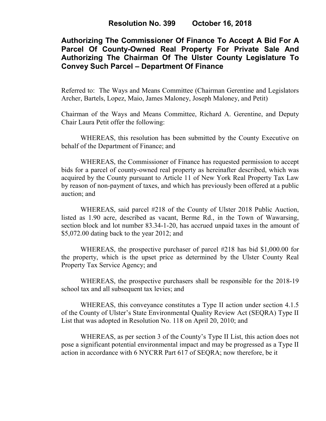# **Authorizing The Commissioner Of Finance To Accept A Bid For A Parcel Of County-Owned Real Property For Private Sale And Authorizing The Chairman Of The Ulster County Legislature To Convey Such Parcel – Department Of Finance**

Referred to: The Ways and Means Committee (Chairman Gerentine and Legislators Archer, Bartels, Lopez, Maio, James Maloney, Joseph Maloney, and Petit)

Chairman of the Ways and Means Committee, Richard A. Gerentine, and Deputy Chair Laura Petit offer the following:

WHEREAS, this resolution has been submitted by the County Executive on behalf of the Department of Finance; and

WHEREAS, the Commissioner of Finance has requested permission to accept bids for a parcel of county-owned real property as hereinafter described, which was acquired by the County pursuant to Article 11 of New York Real Property Tax Law by reason of non-payment of taxes, and which has previously been offered at a public auction; and

WHEREAS, said parcel #218 of the County of Ulster 2018 Public Auction, listed as 1.90 acre, described as vacant, Berme Rd., in the Town of Wawarsing, section block and lot number 83.34-1-20, has accrued unpaid taxes in the amount of \$5,072.00 dating back to the year 2012; and

WHEREAS, the prospective purchaser of parcel #218 has bid \$1,000.00 for the property, which is the upset price as determined by the Ulster County Real Property Tax Service Agency; and

WHEREAS, the prospective purchasers shall be responsible for the 2018-19 school tax and all subsequent tax levies; and

WHEREAS, this conveyance constitutes a Type II action under section 4.1.5 of the County of Ulster's State Environmental Quality Review Act (SEQRA) Type II List that was adopted in Resolution No. 118 on April 20, 2010; and

WHEREAS, as per section 3 of the County's Type II List, this action does not pose a significant potential environmental impact and may be progressed as a Type II action in accordance with 6 NYCRR Part 617 of SEQRA; now therefore, be it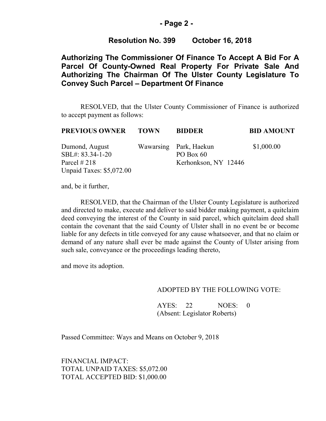### **- Page 2 -**

### **Resolution No. 399 October 16, 2018**

## **Authorizing The Commissioner Of Finance To Accept A Bid For A Parcel Of County-Owned Real Property For Private Sale And Authorizing The Chairman Of The Ulster County Legislature To Convey Such Parcel – Department Of Finance**

RESOLVED, that the Ulster County Commissioner of Finance is authorized to accept payment as follows:

| <b>PREVIOUS OWNER</b>           | <b>TOWN</b> | <b>BIDDER</b>          | <b>BID AMOUNT</b> |
|---------------------------------|-------------|------------------------|-------------------|
| Dumond, August                  |             | Wawarsing Park, Haekun | \$1,000.00        |
| SBL#: 83.34-1-20                |             | PO Box $60$            |                   |
| Parcel $\#218$                  |             | Kerhonkson, NY 12446   |                   |
| <b>Unpaid Taxes: \$5,072.00</b> |             |                        |                   |

and, be it further,

RESOLVED, that the Chairman of the Ulster County Legislature is authorized and directed to make, execute and deliver to said bidder making payment, a quitclaim deed conveying the interest of the County in said parcel, which quitclaim deed shall contain the covenant that the said County of Ulster shall in no event be or become liable for any defects in title conveyed for any cause whatsoever, and that no claim or demand of any nature shall ever be made against the County of Ulster arising from such sale, conveyance or the proceedings leading thereto,

and move its adoption.

#### ADOPTED BY THE FOLLOWING VOTE:

AYES: 22 NOES: 0 (Absent: Legislator Roberts)

Passed Committee: Ways and Means on October 9, 2018

FINANCIAL IMPACT: TOTAL UNPAID TAXES: \$5,072.00 TOTAL ACCEPTED BID: \$1,000.00